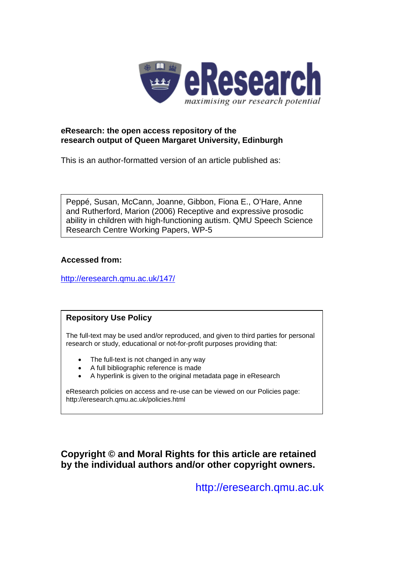

# **eResearch: the open access repository of the research output of Queen Margaret University, Edinburgh**

This is an author-formatted version of an article published as:

Peppé, Susan, McCann, Joanne, Gibbon, Fiona E., O'Hare, Anne and Rutherford, Marion (2006) Receptive and expressive prosodic ability in children with high-functioning autism. QMU Speech Science Research Centre Working Papers, WP-5

# **Accessed from:**

<http://eresearch.qmu.ac.uk/147/>

# **Repository Use Policy**

The full-text may be used and/or reproduced, and given to third parties for personal research or study, educational or not-for-profit purposes providing that:

- The full-text is not changed in any way
- A full bibliographic reference is made
- A hyperlink is given to the original metadata page in eResearch

eResearch policies on access and re-use can be viewed on our Policies page: <http://eresearch.qmu.ac.uk/policies.html>

**Copyright © and Moral Rights for this article are retained by the individual authors and/or other copyright owners.** 

[http://eresearch.qmu.ac.uk](http://eresearch.qmu.ac.uk/)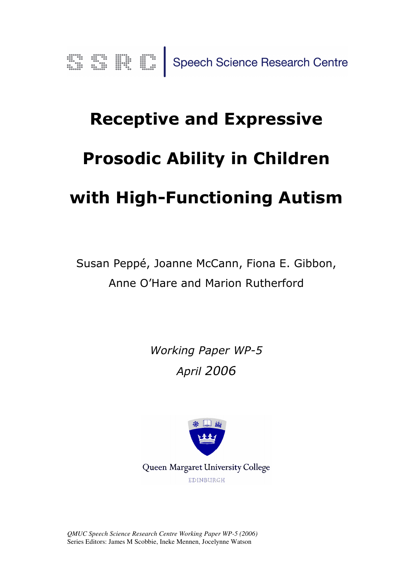# Receptive and Expressive Prosodic Ability in Children with High-Functioning Autism

Susan Peppé, Joanne McCann, Fiona E. Gibbon, Anne O'Hare and Marion Rutherford

> Working Paper WP-5 April 2006



Queen Margaret University College EDINBURGH

*QMUC Speech Science Research Centre Working Paper WP-5 (2006)* Series Editors: James M Scobbie, Ineke Mennen, Jocelynne Watson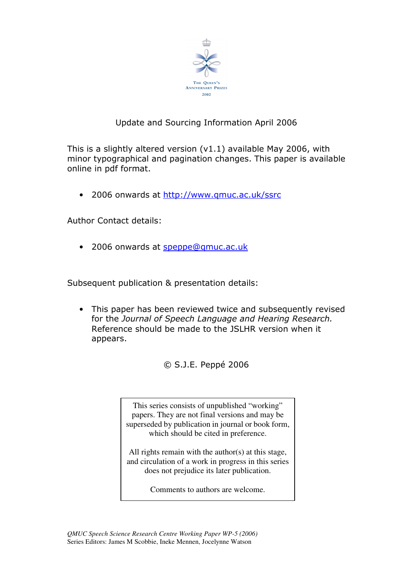

# Update and Sourcing Information April 2006

This is a slightly altered version (v1.1) available May 2006, with minor typographical and pagination changes. This paper is available online in pdf format.

• 2006 onwards at http://www.qmuc.ac.uk/ssrc

Author Contact details:

• 2006 onwards at speppe@qmuc.ac.uk

Subsequent publication & presentation details:

• This paper has been reviewed twice and subsequently revised for the Journal of Speech Language and Hearing Research. Reference should be made to the JSLHR version when it appears.

© S.J.E. Peppé 2006

This series consists of unpublished "working" papers. They are not final versions and may be superseded by publication in journal or book form, which should be cited in preference.

All rights remain with the author(s) at this stage, and circulation of a work in progress in this series does not prejudice its later publication.

Comments to authors are welcome.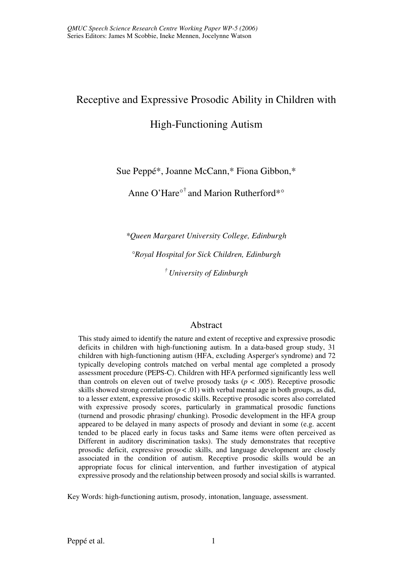# Receptive and Expressive Prosodic Ability in Children with

# High-Functioning Autism

Sue Peppé\*, Joanne McCann,\* Fiona Gibbon,\*

Anne O'Hare°† and Marion Rutherford\*°

*\*Queen Margaret University College, Edinburgh*

*°Royal Hospital for Sick Children, Edinburgh* 

*† University of Edinburgh* 

# Abstract

This study aimed to identify the nature and extent of receptive and expressive prosodic deficits in children with high-functioning autism. In a data-based group study, 31 children with high-functioning autism (HFA, excluding Asperger's syndrome) and 72 typically developing controls matched on verbal mental age completed a prosody assessment procedure (PEPS-C). Children with HFA performed significantly less well than controls on eleven out of twelve prosody tasks  $(p < .005)$ . Receptive prosodic skills showed strong correlation  $(p < .01)$  with verbal mental age in both groups, as did, to a lesser extent, expressive prosodic skills. Receptive prosodic scores also correlated with expressive prosody scores, particularly in grammatical prosodic functions (turnend and prosodic phrasing/ chunking). Prosodic development in the HFA group appeared to be delayed in many aspects of prosody and deviant in some (e.g. accent tended to be placed early in focus tasks and Same items were often perceived as Different in auditory discrimination tasks). The study demonstrates that receptive prosodic deficit, expressive prosodic skills, and language development are closely associated in the condition of autism. Receptive prosodic skills would be an appropriate focus for clinical intervention, and further investigation of atypical expressive prosody and the relationship between prosody and social skills is warranted.

Key Words: high-functioning autism, prosody, intonation, language, assessment.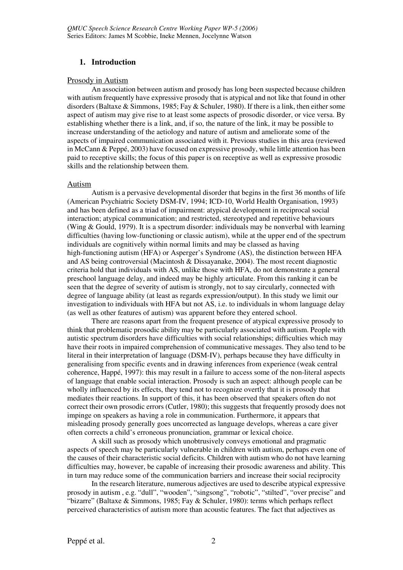## **1. Introduction**

#### Prosody in Autism

An association between autism and prosody has long been suspected because children with autism frequently have expressive prosody that is atypical and not like that found in other disorders (Baltaxe & Simmons, 1985; Fay & Schuler, 1980). If there is a link, then either some aspect of autism may give rise to at least some aspects of prosodic disorder, or vice versa. By establishing whether there is a link, and, if so, the nature of the link, it may be possible to increase understanding of the aetiology and nature of autism and ameliorate some of the aspects of impaired communication associated with it. Previous studies in this area (reviewed in McCann & Peppé, 2003) have focused on expressive prosody, while little attention has been paid to receptive skills; the focus of this paper is on receptive as well as expressive prosodic skills and the relationship between them.

#### Autism

Autism is a pervasive developmental disorder that begins in the first 36 months of life (American Psychiatric Society DSM-IV, 1994; ICD-10, World Health Organisation, 1993) and has been defined as a triad of impairment: atypical development in reciprocal social interaction; atypical communication; and restricted, stereotyped and repetitive behaviours (Wing & Gould, 1979). It is a spectrum disorder: individuals may be nonverbal with learning difficulties (having low-functioning or classic autism), while at the upper end of the spectrum individuals are cognitively within normal limits and may be classed as having high-functioning autism (HFA) or Asperger's Syndrome (AS), the distinction between HFA and AS being controversial (Macintosh & Dissayanake, 2004). The most recent diagnostic criteria hold that individuals with AS, unlike those with HFA, do not demonstrate a general preschool language delay, and indeed may be highly articulate. From this ranking it can be seen that the degree of severity of autism is strongly, not to say circularly, connected with degree of language ability (at least as regards expression/output). In this study we limit our investigation to individuals with HFA but not AS, i.e. to individuals in whom language delay (as well as other features of autism) was apparent before they entered school.

There are reasons apart from the frequent presence of atypical expressive prosody to think that problematic prosodic ability may be particularly associated with autism. People with autistic spectrum disorders have difficulties with social relationships; difficulties which may have their roots in impaired comprehension of communicative messages. They also tend to be literal in their interpretation of language (DSM-IV), perhaps because they have difficulty in generalising from specific events and in drawing inferences from experience (weak central coherence, Happé, 1997): this may result in a failure to access some of the non-literal aspects of language that enable social interaction. Prosody is such an aspect: although people can be wholly influenced by its effects, they tend not to recognize overtly that it is prosody that mediates their reactions. In support of this, it has been observed that speakers often do not correct their own prosodic errors (Cutler, 1980); this suggests that frequently prosody does not impinge on speakers as having a role in communication. Furthermore, it appears that misleading prosody generally goes uncorrected as language develops, whereas a care giver often corrects a child's erroneous pronunciation, grammar or lexical choice.

A skill such as prosody which unobtrusively conveys emotional and pragmatic aspects of speech may be particularly vulnerable in children with autism, perhaps even one of the causes of their characteristic social deficits. Children with autism who do not have learning difficulties may, however, be capable of increasing their prosodic awareness and ability. This in turn may reduce some of the communication barriers and increase their social reciprocity

In the research literature, numerous adjectives are used to describe atypical expressive prosody in autism , e.g. "dull", "wooden", "singsong", "robotic", "stilted", "over precise" and "bizarre" (Baltaxe & Simmons, 1985; Fay & Schuler, 1980): terms which perhaps reflect perceived characteristics of autism more than acoustic features. The fact that adjectives as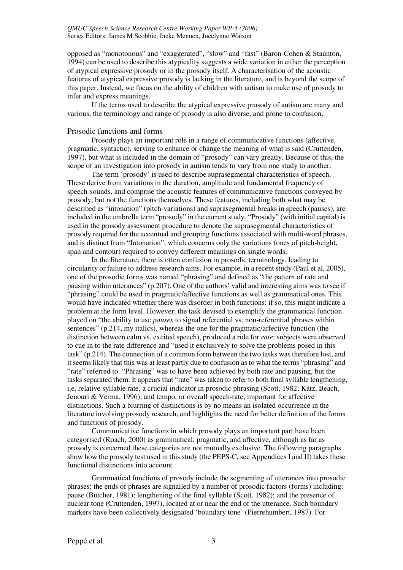opposed as "monotonous" and "exaggerated", "slow" and "fast" (Baron-Cohen & Staunton, 1994) can be used to describe this atypicality suggests a wide variation in either the perception of atypical expressive prosody or in the prosody itself. A characterisation of the acoustic features of atypical expressive prosody is lacking in the literature, and is beyond the scope of this paper. Instead, we focus on the ability of children with autism to make use of prosody to infer and express meanings.

If the terms used to describe the atypical expressive prosody of autism are many and various, the terminology and range of prosody is also diverse, and prone to confusion.

#### Prosodic functions and forms

Prosody plays an important role in a range of communicative functions (affective, pragmatic, syntactic), serving to enhance or change the meaning of what is said (Cruttenden, 1997), but what is included in the domain of "prosody" can vary greatly. Because of this, the scope of an investigation into prosody in autism tends to vary from one study to another.

The term 'prosody' is used to describe suprasegmental characteristics of speech. These derive from variations in the duration, amplitude and fundamental frequency of speech-sounds, and comprise the acoustic features of communicative functions conveyed by prosody, but not the functions themselves. These features, including both what may be described as "intonation" (pitch-variations) and suprasegmental breaks in speech (pauses), are included in the umbrella term "prosody" in the current study. "Prosody" (with initial capital) is used in the prosody assessment procedure to denote the suprasegmental characteristics of prosody required for the accentual and grouping functions associated with multi-word phrases, and is distinct from "Intonation", which concerns only the variations (ones of pitch-height, span and contour) required to convey different meanings on single words.

In the literature, there is often confusion in prosodic terminology, leading to circularity or failure to address research aims. For example, in a recent study (Paul et al, 2005), one of the prosodic forms was named "phrasing" and defined as "the pattern of rate and pausing within utterances" (p.207). One of the authors' valid and interesting aims was to see if "phrasing" could be used in pragmatic/affective functions as well as grammatical ones. This would have indicated whether there was disorder in both functions: if so, this might indicate a problem at the form level. However, the task devised to exemplify the grammatical function played on "the ability to use *pauses* to signal referential vs. non-referential phrases within sentences" (p.214, my italics), whereas the one for the pragmatic/affective function (the distinction between calm vs. excited speech), produced a role for *rate*: subjects were observed to cue in to the rate difference and "used it exclusively to solve the problems posed in this task" (p.214). The connection of a common form between the two tasks was therefore lost, and it seems likely that this was at least partly due to confusion as to what the terms "phrasing" and "rate" referred to. "Phrasing" was to have been achieved by both rate and pausing, but the tasks separated them. It appears that "rate" was taken to refer to both final syllable lengthening, i.e. relative syllable rate, a crucial indicator in prosodic phrasing (Scott, 1982; Katz, Beach, Jenouri & Verma, 1996), and tempo, or overall speech-rate, important for affective distinctions. Such a blurring of distinctions is by no means an isolated occurrence in the literature involving prosody research, and highlights the need for better definition of the forms and functions of prosody.

Communicative functions in which prosody plays an important part have been categorised (Roach, 2000) as grammatical, pragmatic, and affective, although as far as prosody is concerned these categories are not mutually exclusive. The following paragraphs show how the prosody test used in this study (the PEPS-C, see Appendices I and II) takes these functional distinctions into account.

Grammatical functions of prosody include the segmenting of utterances into prosodic phrases; the ends of phrases are signalled by a number of prosodic factors (forms) including: pause (Butcher, 1981); lengthening of the final syllable (Scott, 1982); and the presence of nuclear tone (Cruttenden, 1997), located at or near the end of the utterance. Such boundary markers have been collectively designated 'boundary tone' (Pierrehumbert, 1987). For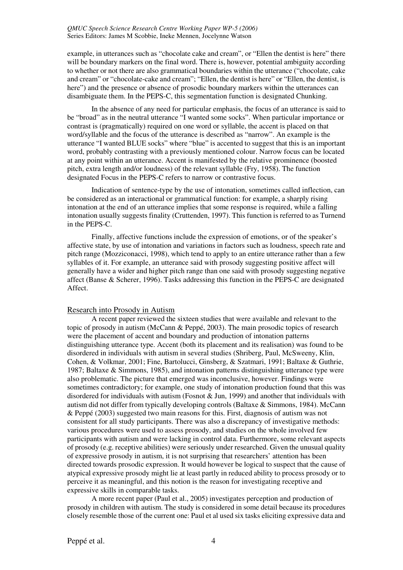example, in utterances such as "chocolate cake and cream", or "Ellen the dentist is here" there will be boundary markers on the final word. There is, however, potential ambiguity according to whether or not there are also grammatical boundaries within the utterance ("chocolate, cake and cream" or "chocolate-cake and cream"; "Ellen, the dentist is here" or "Ellen, the dentist, is here") and the presence or absence of prosodic boundary markers within the utterances can disambiguate them. In the PEPS-C, this segmentation function is designated Chunking.

In the absence of any need for particular emphasis, the focus of an utterance is said to be "broad" as in the neutral utterance "I wanted some socks". When particular importance or contrast is (pragmatically) required on one word or syllable, the accent is placed on that word/syllable and the focus of the utterance is described as "narrow". An example is the utterance "I wanted BLUE socks" where "blue" is accented to suggest that this is an important word, probably contrasting with a previously mentioned colour. Narrow focus can be located at any point within an utterance. Accent is manifested by the relative prominence (boosted pitch, extra length and/or loudness) of the relevant syllable (Fry, 1958). The function designated Focus in the PEPS-C refers to narrow or contrastive focus.

Indication of sentence-type by the use of intonation, sometimes called inflection, can be considered as an interactional or grammatical function: for example, a sharply rising intonation at the end of an utterance implies that some response is required, while a falling intonation usually suggests finality (Cruttenden, 1997). This function is referred to as Turnend in the PEPS-C.

Finally, affective functions include the expression of emotions, or of the speaker's affective state, by use of intonation and variations in factors such as loudness, speech rate and pitch range (Mozziconacci, 1998), which tend to apply to an entire utterance rather than a few syllables of it. For example, an utterance said with prosody suggesting positive affect will generally have a wider and higher pitch range than one said with prosody suggesting negative affect (Banse & Scherer, 1996). Tasks addressing this function in the PEPS-C are designated Affect.

#### Research into Prosody in Autism

A recent paper reviewed the sixteen studies that were available and relevant to the topic of prosody in autism (McCann & Peppé, 2003). The main prosodic topics of research were the placement of accent and boundary and production of intonation patterns distinguishing utterance type. Accent (both its placement and its realisation) was found to be disordered in individuals with autism in several studies (Shriberg, Paul, McSweeny, Klin, Cohen, & Volkmar, 2001; Fine, Bartolucci, Ginsberg, & Szatmari, 1991; Baltaxe & Guthrie, 1987; Baltaxe & Simmons, 1985), and intonation patterns distinguishing utterance type were also problematic. The picture that emerged was inconclusive, however. Findings were sometimes contradictory; for example, one study of intonation production found that this was disordered for individuals with autism (Fosnot & Jun, 1999) and another that individuals with autism did not differ from typically developing controls (Baltaxe & Simmons, 1984). McCann & Peppé (2003) suggested two main reasons for this. First, diagnosis of autism was not consistent for all study participants. There was also a discrepancy of investigative methods: various procedures were used to assess prosody, and studies on the whole involved few participants with autism and were lacking in control data. Furthermore, some relevant aspects of prosody (e.g. receptive abilities) were seriously under researched. Given the unusual quality of expressive prosody in autism, it is not surprising that researchers' attention has been directed towards prosodic expression. It would however be logical to suspect that the cause of atypical expressive prosody might lie at least partly in reduced ability to process prosody or to perceive it as meaningful, and this notion is the reason for investigating receptive and expressive skills in comparable tasks.

A more recent paper (Paul et al., 2005) investigates perception and production of prosody in children with autism. The study is considered in some detail because its procedures closely resemble those of the current one: Paul et al used six tasks eliciting expressive data and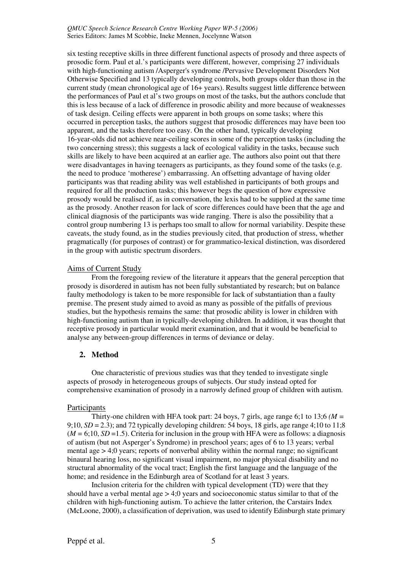six testing receptive skills in three different functional aspects of prosody and three aspects of prosodic form. Paul et al.'s participants were different, however, comprising 27 individuals with high-functioning autism /Asperger's syndrome /Pervasive Development Disorders Not Otherwise Specified and 13 typically developing controls, both groups older than those in the current study (mean chronological age of 16+ years). Results suggest little difference between the performances of Paul et al's two groups on most of the tasks, but the authors conclude that this is less because of a lack of difference in prosodic ability and more because of weaknesses of task design. Ceiling effects were apparent in both groups on some tasks; where this occurred in perception tasks, the authors suggest that prosodic differences may have been too apparent, and the tasks therefore too easy. On the other hand, typically developing 16-year-olds did not achieve near-ceiling scores in some of the perception tasks (including the two concerning stress); this suggests a lack of ecological validity in the tasks, because such skills are likely to have been acquired at an earlier age. The authors also point out that there were disadvantages in having teenagers as participants, as they found some of the tasks (e.g. the need to produce 'motherese') embarrassing. An offsetting advantage of having older participants was that reading ability was well established in participants of both groups and required for all the production tasks; this however begs the question of how expressive prosody would be realised if, as in conversation, the lexis had to be supplied at the same time as the prosody. Another reason for lack of score differences could have been that the age and clinical diagnosis of the participants was wide ranging. There is also the possibility that a control group numbering 13 is perhaps too small to allow for normal variability. Despite these caveats, the study found, as in the studies previously cited, that production of stress, whether pragmatically (for purposes of contrast) or for grammatico-lexical distinction, was disordered in the group with autistic spectrum disorders.

#### Aims of Current Study

From the foregoing review of the literature it appears that the general perception that prosody is disordered in autism has not been fully substantiated by research; but on balance faulty methodology is taken to be more responsible for lack of substantiation than a faulty premise. The present study aimed to avoid as many as possible of the pitfalls of previous studies, but the hypothesis remains the same: that prosodic ability is lower in children with high-functioning autism than in typically-developing children. In addition, it was thought that receptive prosody in particular would merit examination, and that it would be beneficial to analyse any between-group differences in terms of deviance or delay.

## **2. Method**

One characteristic of previous studies was that they tended to investigate single aspects of prosody in heterogeneous groups of subjects. Our study instead opted for comprehensive examination of prosody in a narrowly defined group of children with autism.

#### Participants

Thirty-one children with HFA took part: 24 boys, 7 girls, age range 6;1 to 13;6 *(M =* 9;10,  $SD = 2.3$ ); and 72 typically developing children: 54 boys, 18 girls, age range 4;10 to 11;8  $(M = 6;10, SD = 1.5)$ . Criteria for inclusion in the group with HFA were as follows: a diagnosis of autism (but not Asperger's Syndrome) in preschool years; ages of 6 to 13 years; verbal mental age  $> 4.0$  years; reports of nonverbal ability within the normal range; no significant binaural hearing loss, no significant visual impairment, no major physical disability and no structural abnormality of the vocal tract; English the first language and the language of the home; and residence in the Edinburgh area of Scotland for at least 3 years.

Inclusion criteria for the children with typical development (TD) were that they should have a verbal mental age  $> 4.0$  years and socioeconomic status similar to that of the children with high-functioning autism. To achieve the latter criterion, the Carstairs Index (McLoone, 2000), a classification of deprivation, was used to identify Edinburgh state primary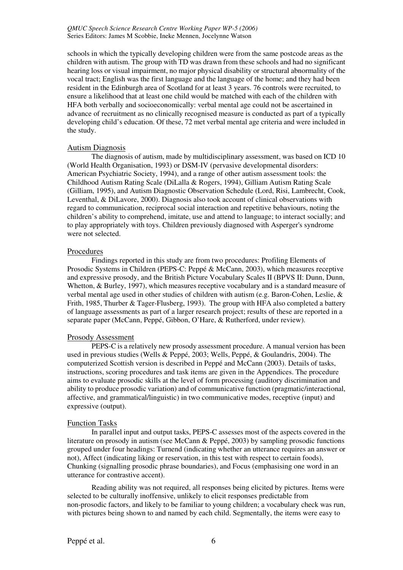schools in which the typically developing children were from the same postcode areas as the children with autism. The group with TD was drawn from these schools and had no significant hearing loss or visual impairment, no major physical disability or structural abnormality of the vocal tract; English was the first language and the language of the home; and they had been resident in the Edinburgh area of Scotland for at least 3 years. 76 controls were recruited, to ensure a likelihood that at least one child would be matched with each of the children with HFA both verbally and socioeconomically: verbal mental age could not be ascertained in advance of recruitment as no clinically recognised measure is conducted as part of a typically developing child's education. Of these, 72 met verbal mental age criteria and were included in the study.

#### Autism Diagnosis

The diagnosis of autism, made by multidisciplinary assessment, was based on ICD 10 (World Health Organisation, 1993) or DSM-IV (pervasive developmental disorders: American Psychiatric Society, 1994), and a range of other autism assessment tools: the Childhood Autism Rating Scale (DiLalla & Rogers, 1994), Gilliam Autism Rating Scale (Gilliam, 1995), and Autism Diagnostic Observation Schedule (Lord, Risi, Lambrecht, Cook, Leventhal, & DiLavore, 2000). Diagnosis also took account of clinical observations with regard to communication, reciprocal social interaction and repetitive behaviours, noting the children's ability to comprehend, imitate, use and attend to language; to interact socially; and to play appropriately with toys. Children previously diagnosed with Asperger's syndrome were not selected.

#### Procedures

Findings reported in this study are from two procedures: Profiling Elements of Prosodic Systems in Children (PEPS-C: Peppé & McCann, 2003), which measures receptive and expressive prosody, and the British Picture Vocabulary Scales II (BPVS II: Dunn, Dunn, Whetton, & Burley, 1997), which measures receptive vocabulary and is a standard measure of verbal mental age used in other studies of children with autism (e.g. Baron-Cohen, Leslie, & Frith, 1985, Thurber & Tager-Flusberg, 1993). The group with HFA also completed a battery of language assessments as part of a larger research project; results of these are reported in a separate paper (McCann, Peppé, Gibbon, O'Hare, & Rutherford, under review).

#### Prosody Assessment

PEPS-C is a relatively new prosody assessment procedure. A manual version has been used in previous studies (Wells & Peppé, 2003; Wells, Peppé, & Goulandris, 2004). The computerized Scottish version is described in Peppé and McCann (2003). Details of tasks, instructions, scoring procedures and task items are given in the Appendices. The procedure aims to evaluate prosodic skills at the level of form processing (auditory discrimination and ability to produce prosodic variation) and of communicative function (pragmatic/interactional, affective, and grammatical/linguistic) in two communicative modes, receptive (input) and expressive (output).

#### Function Tasks

In parallel input and output tasks, PEPS-C assesses most of the aspects covered in the literature on prosody in autism (see McCann & Peppé, 2003) by sampling prosodic functions grouped under four headings: Turnend (indicating whether an utterance requires an answer or not), Affect (indicating liking or reservation, in this test with respect to certain foods), Chunking (signalling prosodic phrase boundaries), and Focus (emphasising one word in an utterance for contrastive accent).

Reading ability was not required, all responses being elicited by pictures. Items were selected to be culturally inoffensive, unlikely to elicit responses predictable from non-prosodic factors, and likely to be familiar to young children; a vocabulary check was run, with pictures being shown to and named by each child. Segmentally, the items were easy to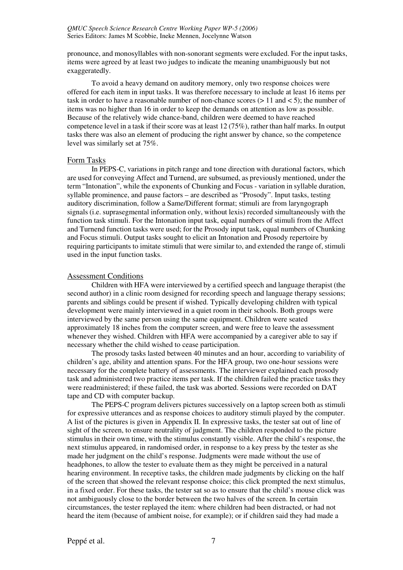pronounce, and monosyllables with non-sonorant segments were excluded. For the input tasks, items were agreed by at least two judges to indicate the meaning unambiguously but not exaggeratedly.

To avoid a heavy demand on auditory memory, only two response choices were offered for each item in input tasks. It was therefore necessary to include at least 16 items per task in order to have a reasonable number of non-chance scores  $(> 11$  and  $< 5)$ ; the number of items was no higher than 16 in order to keep the demands on attention as low as possible. Because of the relatively wide chance-band, children were deemed to have reached competence level in a task if their score was at least 12 (75%), rather than half marks. In output tasks there was also an element of producing the right answer by chance, so the competence level was similarly set at 75%.

#### Form Tasks

In PEPS-C, variations in pitch range and tone direction with durational factors, which are used for conveying Affect and Turnend, are subsumed, as previously mentioned, under the term "Intonation", while the exponents of Chunking and Focus - variation in syllable duration, syllable prominence, and pause factors – are described as "Prosody". Input tasks, testing auditory discrimination, follow a Same/Different format; stimuli are from laryngograph signals (i.e. suprasegmental information only, without lexis) recorded simultaneously with the function task stimuli. For the Intonation input task, equal numbers of stimuli from the Affect and Turnend function tasks were used; for the Prosody input task, equal numbers of Chunking and Focus stimuli. Output tasks sought to elicit an Intonation and Prosody repertoire by requiring participants to imitate stimuli that were similar to, and extended the range of, stimuli used in the input function tasks.

#### Assessment Conditions

Children with HFA were interviewed by a certified speech and language therapist (the second author) in a clinic room designed for recording speech and language therapy sessions; parents and siblings could be present if wished. Typically developing children with typical development were mainly interviewed in a quiet room in their schools. Both groups were interviewed by the same person using the same equipment. Children were seated approximately 18 inches from the computer screen, and were free to leave the assessment whenever they wished. Children with HFA were accompanied by a caregiver able to say if necessary whether the child wished to cease participation.

The prosody tasks lasted between 40 minutes and an hour, according to variability of children's age, ability and attention spans. For the HFA group, two one-hour sessions were necessary for the complete battery of assessments. The interviewer explained each prosody task and administered two practice items per task. If the children failed the practice tasks they were readministered; if these failed, the task was aborted. Sessions were recorded on DAT tape and CD with computer backup.

The PEPS-C program delivers pictures successively on a laptop screen both as stimuli for expressive utterances and as response choices to auditory stimuli played by the computer. A list of the pictures is given in Appendix II. In expressive tasks, the tester sat out of line of sight of the screen, to ensure neutrality of judgment. The children responded to the picture stimulus in their own time, with the stimulus constantly visible. After the child's response, the next stimulus appeared, in randomised order, in response to a key press by the tester as she made her judgment on the child's response. Judgments were made without the use of headphones, to allow the tester to evaluate them as they might be perceived in a natural hearing environment. In receptive tasks, the children made judgments by clicking on the half of the screen that showed the relevant response choice; this click prompted the next stimulus, in a fixed order. For these tasks, the tester sat so as to ensure that the child's mouse click was not ambiguously close to the border between the two halves of the screen. In certain circumstances, the tester replayed the item: where children had been distracted, or had not heard the item (because of ambient noise, for example); or if children said they had made a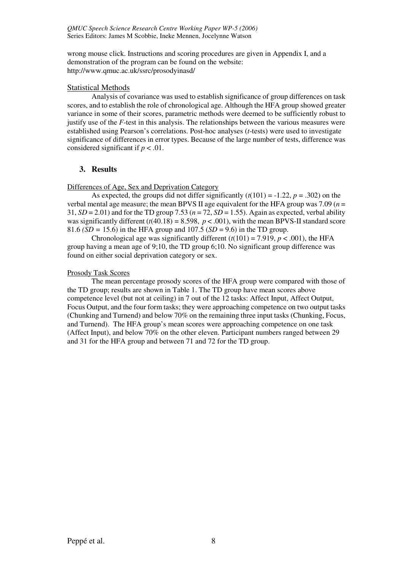wrong mouse click. Instructions and scoring procedures are given in Appendix I, and a demonstration of the program can be found on the website: http://www.qmuc.ac.uk/ssrc/prosodyinasd/

## Statistical Methods

Analysis of covariance was used to establish significance of group differences on task scores, and to establish the role of chronological age. Although the HFA group showed greater variance in some of their scores, parametric methods were deemed to be sufficiently robust to justify use of the *F*-test in this analysis. The relationships between the various measures were established using Pearson's correlations. Post-hoc analyses (*t*-tests) were used to investigate significance of differences in error types. Because of the large number of tests, difference was considered significant if  $p < .01$ .

## **3. Results**

Differences of Age, Sex and Deprivation Category

As expected, the groups did not differ significantly  $(t(101) = -1.22, p = .302)$  on the verbal mental age measure; the mean BPVS II age equivalent for the HFA group was 7.09 (*n* = 31,  $SD = 2.01$  and for the TD group 7.53 ( $n = 72$ ,  $SD = 1.55$ ). Again as expected, verbal ability was significantly different  $(t(40.18) = 8.598, p < .001)$ , with the mean BPVS-II standard score 81.6 *(SD =* 15.6) in the HFA group and 107.5 (*SD* = 9.6) in the TD group.

Chronological age was significantly different  $(t(101) = 7.919, p < .001)$ , the HFA group having a mean age of 9;10, the TD group 6;10. No significant group difference was found on either social deprivation category or sex.

#### Prosody Task Scores

The mean percentage prosody scores of the HFA group were compared with those of the TD group; results are shown in Table 1. The TD group have mean scores above competence level (but not at ceiling) in 7 out of the 12 tasks: Affect Input, Affect Output, Focus Output, and the four form tasks; they were approaching competence on two output tasks (Chunking and Turnend) and below 70% on the remaining three input tasks (Chunking, Focus, and Turnend). The HFA group's mean scores were approaching competence on one task (Affect Input), and below 70% on the other eleven. Participant numbers ranged between 29 and 31 for the HFA group and between 71 and 72 for the TD group.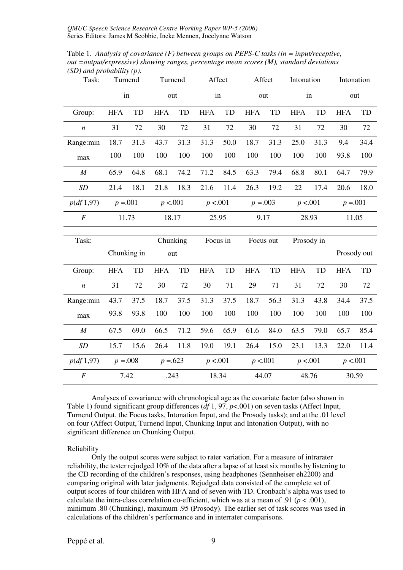Table 1. *Analysis of covariance (F) between groups on PEPS-C tasks (in = input/receptive, out =output/expressive) showing ranges, percentage mean scores (M), standard deviations (SD) and probability (p).* 

| Task:            | Turnend     |       | Turnend         |       | Affect     |       | Affect      |      | Intonation |      | Intonation  |      |
|------------------|-------------|-------|-----------------|-------|------------|-------|-------------|------|------------|------|-------------|------|
|                  | in          |       | out             |       | in         |       | out         |      | in         |      | out         |      |
| Group:           | <b>HFA</b>  | TD    | <b>HFA</b>      | TD    | <b>HFA</b> | TD    | <b>HFA</b>  | TD   | <b>HFA</b> | TD   | <b>HFA</b>  | TD   |
| $\boldsymbol{n}$ | 31          | 72    | 30              | 72    | 31         | 72    | 30          | 72   | 31         | 72   | 30          | 72   |
| Range:min        | 18.7        | 31.3  | 43.7            | 31.3  | 31.3       | 50.0  | 18.7        | 31.3 | 25.0       | 31.3 | 9.4         | 34.4 |
| $\max$           | 100         | 100   | 100             | 100   | 100        | 100   | 100         | 100  | 100        | 100  | 93.8        | 100  |
| $\cal M$         | 65.9        | 64.8  | 68.1            | 74.2  | 71.2       | 84.5  | 63.3        | 79.4 | 68.8       | 80.1 | 64.7        | 79.9 |
| SD               | 21.4        | 18.1  | 21.8            | 18.3  | 21.6       | 11.4  | 26.3        | 19.2 | 22         | 17.4 | 20.6        | 18.0 |
| p(df 1,97)       | $p = 0.001$ |       | p < 0.001       |       | p < 0.001  |       | $p = 0.003$ |      | p < 0.001  |      | $p = 0.001$ |      |
| $\cal F$         |             | 11.73 |                 | 18.17 |            | 25.95 | 9.17        |      | 28.93      |      | 11.05       |      |
|                  |             |       |                 |       |            |       |             |      |            |      |             |      |
|                  |             |       |                 |       |            |       |             |      |            |      |             |      |
| Task:            | Chunking in |       | Chunking<br>out |       | Focus in   |       | Focus out   |      | Prosody in |      | Prosody out |      |
| Group:           | <b>HFA</b>  | TD    | <b>HFA</b>      | TD    | <b>HFA</b> | TD    | <b>HFA</b>  | TD   | <b>HFA</b> | TD   | <b>HFA</b>  | TD   |
| $\boldsymbol{n}$ | 31          | 72    | 30              | 72    | 30         | 71    | 29          | 71   | 31         | 72   | 30          | 72   |
| Range:min        | 43.7        | 37.5  | 18.7            | 37.5  | 31.3       | 37.5  | 18.7        | 56.3 | 31.3       | 43.8 | 34.4        | 37.5 |
| max              | 93.8        | 93.8  | 100             | 100   | 100        | 100   | 100         | 100  | 100        | 100  | 100         | 100  |
| $\cal M$         | 67.5        | 69.0  | 66.5            | 71.2  | 59.6       | 65.9  | 61.6        | 84.0 | 63.5       | 79.0 | 65.7        | 85.4 |
| SD               | 15.7        | 15.6  | 26.4            | 11.8  | 19.0       | 19.1  | 26.4        | 15.0 | 23.1       | 13.3 | 22.0        | 11.4 |
| p(df 1,97)       | $p = 0.008$ |       | $p = 623$       |       | p < 0.001  |       | p < 0.001   |      | p < 0.001  |      | p < 0.001   |      |

Analyses of covariance with chronological age as the covariate factor (also shown in Table 1) found significant group differences (*df* 1, 97, *p*<.001) on seven tasks (Affect Input, Turnend Output, the Focus tasks, Intonation Input, and the Prosody tasks); and at the .01 level on four (Affect Output, Turnend Input, Chunking Input and Intonation Output), with no significant difference on Chunking Output.

#### Reliability

Only the output scores were subject to rater variation. For a measure of intrarater reliability, the tester rejudged 10% of the data after a lapse of at least six months by listening to the CD recording of the children's responses, using headphones (Sennheiser eh2200) and comparing original with later judgments. Rejudged data consisted of the complete set of output scores of four children with HFA and of seven with TD. Cronbach's alpha was used to calculate the intra-class correlation co-efficient, which was at a mean of .91 ( $p < .001$ ), minimum .80 (Chunking), maximum .95 (Prosody). The earlier set of task scores was used in calculations of the children's performance and in interrater comparisons.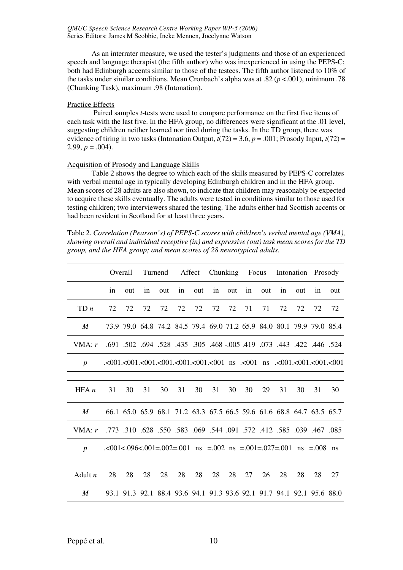As an interrater measure, we used the tester's judgments and those of an experienced speech and language therapist (the fifth author) who was inexperienced in using the PEPS-C; both had Edinburgh accents similar to those of the testees. The fifth author listened to 10% of the tasks under similar conditions. Mean Cronbach's alpha was at .82 (*p* <.001), minimum .78 (Chunking Task), maximum .98 (Intonation).

#### Practice Effects

Paired samples *t*-tests were used to compare performance on the first five items of each task with the last five. In the HFA group, no differences were significant at the .01 level, suggesting children neither learned nor tired during the tasks. In the TD group, there was evidence of tiring in two tasks (Intonation Output,  $t(72) = 3.6$ ,  $p = .001$ ; Prosody Input,  $t(72) =$ 2.99,  $p = .004$ ).

#### Acquisition of Prosody and Language Skills

Table 2 shows the degree to which each of the skills measured by PEPS-C correlates with verbal mental age in typically developing Edinburgh children and in the HFA group. Mean scores of 28 adults are also shown, to indicate that children may reasonably be expected to acquire these skills eventually. The adults were tested in conditions similar to those used for testing children; two interviewers shared the testing. The adults either had Scottish accents or had been resident in Scotland for at least three years.

Table 2. *Correlation (Pearson's) of PEPS-C scores with children's verbal mental age (VMA), showing overall and individual receptive (in) and expressive (out) task mean scores for the TD group, and the HFA group; and mean scores of 28 neurotypical adults.* 

|                  | Overall |     |    | Turnend |    | Affect |    |     | Chunking Focus |     |    |     | Intonation Prosody                                                                                                                                                                                                                                     |     |
|------------------|---------|-----|----|---------|----|--------|----|-----|----------------|-----|----|-----|--------------------------------------------------------------------------------------------------------------------------------------------------------------------------------------------------------------------------------------------------------|-----|
|                  | in      | out | in | out     | in | out    | in | out | in             | out | in | out | in                                                                                                                                                                                                                                                     | out |
| TDn              | 72      | 72  | 72 | 72      | 72 | 72     | 72 | 72  | 71             | 71  | 72 | 72  | 72                                                                                                                                                                                                                                                     | 72  |
| M                |         |     |    |         |    |        |    |     |                |     |    |     | 73.9 79.0 64.8 74.2 84.5 79.4 69.0 71.2 65.9 84.0 80.1 79.9 79.0 85.4                                                                                                                                                                                  |     |
| VMA: r           |         |     |    |         |    |        |    |     |                |     |    |     | .524 .446 .524 .422 .445 .691 .419 .005 .468 .005 .468 .691 .502 .502 .691                                                                                                                                                                             |     |
| $\boldsymbol{p}$ |         |     |    |         |    |        |    |     |                |     |    |     | $0.001$ , $0.001$ , $0.001$ , $0.001$ , $0.001$ , $0.001$ , $0.001$ , $0.001$ , $0.001$ , $0.001$ , $0.001$ , $0.001$ , $0.001$ , $0.001$ , $0.001$ , $0.001$ , $0.001$ , $0.001$ , $0.001$ , $0.001$ , $0.001$ , $0.001$ , $0.001$ , $0.001$ , $0.00$ |     |
|                  |         |     |    |         |    |        |    |     |                |     |    |     |                                                                                                                                                                                                                                                        |     |
| HFA n            | 31      | 30  | 31 | 30      | 31 | 30     | 31 | 30  | 30             | 29  | 31 | 30  | 31                                                                                                                                                                                                                                                     | 30  |
| M                |         |     |    |         |    |        |    |     |                |     |    |     | 66.1 65.0 65.9 68.1 71.2 63.3 67.5 66.5 59.6 61.6 68.8 64.7 63.5 65.7                                                                                                                                                                                  |     |
| VMA: r           |         |     |    |         |    |        |    |     |                |     |    |     | .773 .310 .628 .635 .12 .572 .412 .583 .069 .544 .091 .572 .412 .585 .039 .467.                                                                                                                                                                        |     |
| $\boldsymbol{p}$ |         |     |    |         |    |        |    |     |                |     |    |     | $\approx 0.001 \le 0.006 \le 0.001 = 0.002 = 0.001$ ns = 0.002 ns = 0.01=0.027=0.001 ns = 0.008 ns                                                                                                                                                     |     |
|                  |         |     |    |         |    |        |    |     |                |     |    |     |                                                                                                                                                                                                                                                        |     |
| Adult $n$        | 28      | 28  | 28 | 28      | 28 | 28     | 28 | 28  | 27             | 26  | 28 | 28  | 28                                                                                                                                                                                                                                                     | 27  |
| $\boldsymbol{M}$ |         |     |    |         |    |        |    |     |                |     |    |     | 93.1 91.3 92.1 88.4 93.6 94.1 91.3 93.6 92.1 91.7 94.1 92.1 95.6 88.0                                                                                                                                                                                  |     |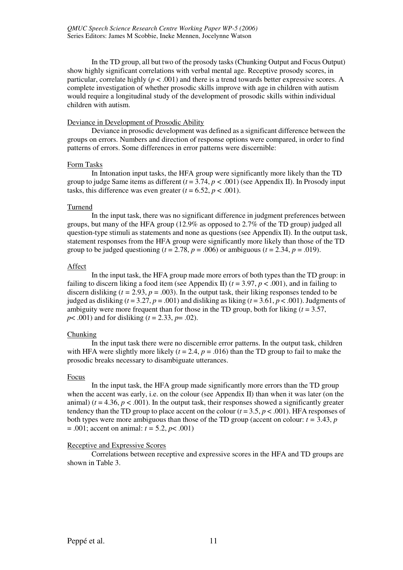In the TD group, all but two of the prosody tasks (Chunking Output and Focus Output) show highly significant correlations with verbal mental age. Receptive prosody scores, in particular, correlate highly ( $p < .001$ ) and there is a trend towards better expressive scores. A complete investigation of whether prosodic skills improve with age in children with autism would require a longitudinal study of the development of prosodic skills within individual children with autism.

#### Deviance in Development of Prosodic Ability

Deviance in prosodic development was defined as a significant difference between the groups on errors. Numbers and direction of response options were compared, in order to find patterns of errors. Some differences in error patterns were discernible:

#### Form Tasks

In Intonation input tasks, the HFA group were significantly more likely than the TD group to judge Same items as different  $(t = 3.74, p < .001)$  (see Appendix II). In Prosody input tasks, this difference was even greater  $(t = 6.52, p < .001)$ .

#### Turnend

In the input task, there was no significant difference in judgment preferences between groups, but many of the HFA group (12.9% as opposed to 2.7% of the TD group) judged all question-type stimuli as statements and none as questions (see Appendix II). In the output task, statement responses from the HFA group were significantly more likely than those of the TD group to be judged questioning ( $t = 2.78$ ,  $p = .006$ ) or ambiguous ( $t = 2.34$ ,  $p = .019$ ).

#### Affect

In the input task, the HFA group made more errors of both types than the TD group: in failing to discern liking a food item (see Appendix II) (*t* = 3.97, *p* < .001), and in failing to discern disliking ( $t = 2.93$ ,  $p = .003$ ). In the output task, their liking responses tended to be judged as disliking ( $t = 3.27$ ,  $p = .001$ ) and disliking as liking ( $t = 3.61$ ,  $p < .001$ ). Judgments of ambiguity were more frequent than for those in the TD group, both for liking  $(t = 3.57)$ , *p*< .001) and for disliking (*t* = 2.33, *p*= .02).

#### Chunking

In the input task there were no discernible error patterns. In the output task, children with HFA were slightly more likely  $(t = 2.4, p = .016)$  than the TD group to fail to make the prosodic breaks necessary to disambiguate utterances.

#### Focus

In the input task, the HFA group made significantly more errors than the TD group when the accent was early, i.e. on the colour (see Appendix II) than when it was later (on the animal)  $(t = 4.36, p < .001)$ . In the output task, their responses showed a significantly greater tendency than the TD group to place accent on the colour  $(t = 3.5, p < .001)$ . HFA responses of both types were more ambiguous than those of the TD group (accent on colour:  $t = 3.43$ ,  $p$ = .001; accent on animal: *t =* 5.2, *p*< .001)

#### Receptive and Expressive Scores

Correlations between receptive and expressive scores in the HFA and TD groups are shown in Table 3.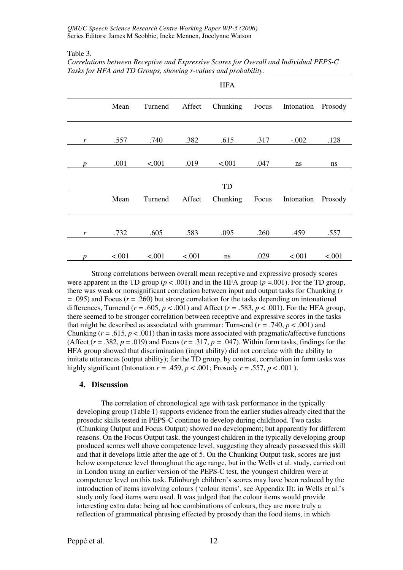Table 3.

|                  |        |         |        | <b>HFA</b> |       |                    |         |
|------------------|--------|---------|--------|------------|-------|--------------------|---------|
|                  | Mean   | Turnend | Affect | Chunking   | Focus | Intonation Prosody |         |
| r                | .557   | .740    | .382   | .615       | .317  | $-.002$            | .128    |
| n                | .001   | < .001  | .019   | < .001     | .047  | ns                 | ns      |
|                  |        |         |        | TD         |       |                    |         |
|                  | Mean   | Turnend | Affect | Chunking   | Focus | Intonation         | Prosody |
| r                | .732   | .605    | .583   | .095       | .260  | .459               | .557    |
| $\boldsymbol{p}$ | < .001 | $-.001$ | < .001 | ns         | .029  | < .001             | < .001  |

*Correlations between Receptive and Expressive Scores for Overall and Individual PEPS-C Tasks for HFA and TD Groups, showing r-values and probability.* 

Strong correlations between overall mean receptive and expressive prosody scores were apparent in the TD group ( $p < .001$ ) and in the HFA group ( $p = .001$ ). For the TD group, there was weak or nonsignificant correlation between input and output tasks for Chunking (*r =* .095) and Focus (*r* = .260) but strong correlation for the tasks depending on intonational differences, Turnend ( $r = .605$ ,  $p < .001$ ) and Affect ( $r = .583$ ,  $p < .001$ ). For the HFA group, there seemed to be stronger correlation between receptive and expressive scores in the tasks that might be described as associated with grammar: Turn-end ( $r = .740$ ,  $p < .001$ ) and Chunking  $(r = .615, p < .001)$  than in tasks more associated with pragmatic/affective functions (Affect  $(r = .382, p = .019)$  and Focus  $(r = .317, p = .047)$ ). Within form tasks, findings for the HFA group showed that discrimination (input ability) did not correlate with the ability to imitate utterances (output ability); for the TD group, by contrast, correlation in form tasks was highly significant (Intonation  $r = .459$ ,  $p < .001$ ; Prosody  $r = .557$ ,  $p < .001$ ).

#### **4. Discussion**

The correlation of chronological age with task performance in the typically developing group (Table 1) supports evidence from the earlier studies already cited that the prosodic skills tested in PEPS-C continue to develop during childhood. Two tasks (Chunking Output and Focus Output) showed no development; but apparently for different reasons. On the Focus Output task, the youngest children in the typically developing group produced scores well above competence level, suggesting they already possessed this skill and that it develops little after the age of 5. On the Chunking Output task, scores are just below competence level throughout the age range, but in the Wells et al. study, carried out in London using an earlier version of the PEPS-C test, the youngest children were at competence level on this task. Edinburgh children's scores may have been reduced by the introduction of items involving colours ('colour items', see Appendix II): in Wells et al.'s study only food items were used. It was judged that the colour items would provide interesting extra data: being ad hoc combinations of colours, they are more truly a reflection of grammatical phrasing effected by prosody than the food items, in which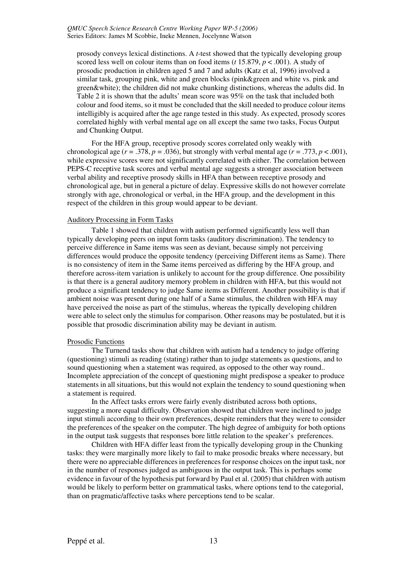prosody conveys lexical distinctions. A *t*-test showed that the typically developing group scored less well on colour items than on food items (*t* 15.879, *p* < .001). A study of prosodic production in children aged 5 and 7 and adults (Katz et al, 1996) involved a similar task, grouping pink, white and green blocks (pink&green and white vs. pink and green&white); the children did not make chunking distinctions, whereas the adults did. In Table 2 it is shown that the adults' mean score was 95% on the task that included both colour and food items, so it must be concluded that the skill needed to produce colour items intelligibly is acquired after the age range tested in this study. As expected, prosody scores correlated highly with verbal mental age on all except the same two tasks, Focus Output and Chunking Output.

For the HFA group, receptive prosody scores correlated only weakly with chronological age  $(r = .378, p = .036)$ , but strongly with verbal mental age  $(r = .773, p < .001)$ , while expressive scores were not significantly correlated with either. The correlation between PEPS-C receptive task scores and verbal mental age suggests a stronger association between verbal ability and receptive prosody skills in HFA than between receptive prosody and chronological age, but in general a picture of delay. Expressive skills do not however correlate strongly with age, chronological or verbal, in the HFA group, and the development in this respect of the children in this group would appear to be deviant.

#### Auditory Processing in Form Tasks

Table 1 showed that children with autism performed significantly less well than typically developing peers on input form tasks (auditory discrimination). The tendency to perceive difference in Same items was seen as deviant, because simply not perceiving differences would produce the opposite tendency (perceiving Different items as Same). There is no consistency of item in the Same items perceived as differing by the HFA group, and therefore across-item variation is unlikely to account for the group difference. One possibility is that there is a general auditory memory problem in children with HFA, but this would not produce a significant tendency to judge Same items as Different. Another possibility is that if ambient noise was present during one half of a Same stimulus, the children with HFA may have perceived the noise as part of the stimulus, whereas the typically developing children were able to select only the stimulus for comparison. Other reasons may be postulated, but it is possible that prosodic discrimination ability may be deviant in autism.

#### Prosodic Functions

The Turnend tasks show that children with autism had a tendency to judge offering (questioning) stimuli as reading (stating) rather than to judge statements as questions, and to sound questioning when a statement was required, as opposed to the other way round.. Incomplete appreciation of the concept of questioning might predispose a speaker to produce statements in all situations, but this would not explain the tendency to sound questioning when a statement is required.

In the Affect tasks errors were fairly evenly distributed across both options, suggesting a more equal difficulty. Observation showed that children were inclined to judge input stimuli according to their own preferences, despite reminders that they were to consider the preferences of the speaker on the computer. The high degree of ambiguity for both options in the output task suggests that responses bore little relation to the speaker's preferences.

Children with HFA differ least from the typically developing group in the Chunking tasks: they were marginally more likely to fail to make prosodic breaks where necessary, but there were no appreciable differences in preferences for response choices on the input task, nor in the number of responses judged as ambiguous in the output task. This is perhaps some evidence in favour of the hypothesis put forward by Paul et al. (2005) that children with autism would be likely to perform better on grammatical tasks, where options tend to the categorial, than on pragmatic/affective tasks where perceptions tend to be scalar.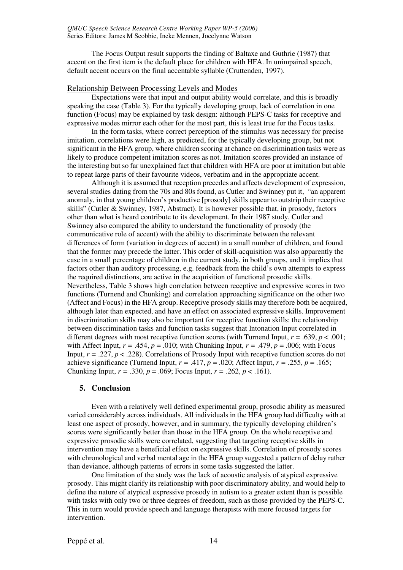The Focus Output result supports the finding of Baltaxe and Guthrie (1987) that accent on the first item is the default place for children with HFA. In unimpaired speech, default accent occurs on the final accentable syllable (Cruttenden, 1997).

#### Relationship Between Processing Levels and Modes

Expectations were that input and output ability would correlate, and this is broadly speaking the case (Table 3). For the typically developing group, lack of correlation in one function (Focus) may be explained by task design: although PEPS-C tasks for receptive and expressive modes mirror each other for the most part, this is least true for the Focus tasks.

In the form tasks, where correct perception of the stimulus was necessary for precise imitation, correlations were high, as predicted, for the typically developing group, but not significant in the HFA group, where children scoring at chance on discrimination tasks were as likely to produce competent imitation scores as not. Imitation scores provided an instance of the interesting but so far unexplained fact that children with HFA are poor at imitation but able to repeat large parts of their favourite videos, verbatim and in the appropriate accent.

Although it is assumed that reception precedes and affects development of expression, several studies dating from the 70s and 80s found, as Cutler and Swinney put it, "an apparent anomaly, in that young children's productive [prosody] skills appear to outstrip their receptive skills" (Cutler & Swinney, 1987, Abstract). It is however possible that, in prosody, factors other than what is heard contribute to its development. In their 1987 study, Cutler and Swinney also compared the ability to understand the functionality of prosody (the communicative role of accent) with the ability to discriminate between the relevant differences of form (variation in degrees of accent) in a small number of children, and found that the former may precede the latter. This order of skill-acquisition was also apparently the case in a small percentage of children in the current study, in both groups, and it implies that factors other than auditory processing, e.g. feedback from the child's own attempts to express the required distinctions, are active in the acquisition of functional prosodic skills. Nevertheless, Table 3 shows high correlation between receptive and expressive scores in two functions (Turnend and Chunking) and correlation approaching significance on the other two (Affect and Focus) in the HFA group. Receptive prosody skills may therefore both be acquired, although later than expected, and have an effect on associated expressive skills. Improvement in discrimination skills may also be important for receptive function skills: the relationship between discrimination tasks and function tasks suggest that Intonation Input correlated in different degrees with most receptive function scores (with Turnend Input,  $r = .639$ ,  $p < .001$ ; with Affect Input,  $r = .454$ ,  $p = .010$ ; with Chunking Input,  $r = .479$ ,  $p = .006$ ; with Focus Input,  $r = .227$ ,  $p < .228$ ). Correlations of Prosody Input with receptive function scores do not achieve significance (Turnend Input,  $r = .417$ ,  $p = .020$ ; Affect Input,  $r = .255$ ,  $p = .165$ ; Chunking Input,  $r = .330$ ,  $p = .069$ ; Focus Input,  $r = .262$ ,  $p < .161$ ).

#### **5. Conclusion**

Even with a relatively well defined experimental group, prosodic ability as measured varied considerably across individuals. All individuals in the HFA group had difficulty with at least one aspect of prosody, however, and in summary, the typically developing children's scores were significantly better than those in the HFA group. On the whole receptive and expressive prosodic skills were correlated, suggesting that targeting receptive skills in intervention may have a beneficial effect on expressive skills. Correlation of prosody scores with chronological and verbal mental age in the HFA group suggested a pattern of delay rather than deviance, although patterns of errors in some tasks suggested the latter.

One limitation of the study was the lack of acoustic analysis of atypical expressive prosody. This might clarify its relationship with poor discriminatory ability, and would help to define the nature of atypical expressive prosody in autism to a greater extent than is possible with tasks with only two or three degrees of freedom, such as those provided by the PEPS-C. This in turn would provide speech and language therapists with more focused targets for intervention.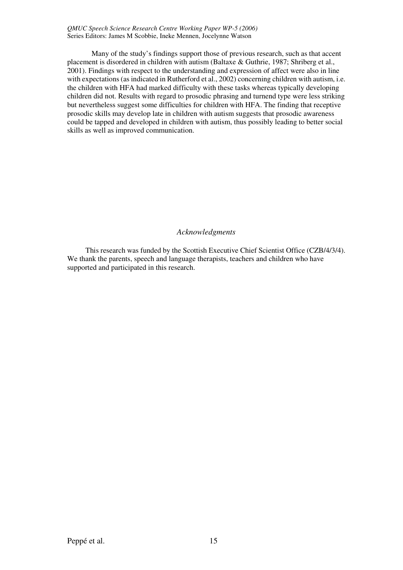Many of the study's findings support those of previous research, such as that accent placement is disordered in children with autism (Baltaxe & Guthrie, 1987; Shriberg et al., 2001). Findings with respect to the understanding and expression of affect were also in line with expectations (as indicated in Rutherford et al., 2002) concerning children with autism, i.e. the children with HFA had marked difficulty with these tasks whereas typically developing children did not. Results with regard to prosodic phrasing and turnend type were less striking but nevertheless suggest some difficulties for children with HFA. The finding that receptive prosodic skills may develop late in children with autism suggests that prosodic awareness could be tapped and developed in children with autism, thus possibly leading to better social skills as well as improved communication.

#### *Acknowledgments*

This research was funded by the Scottish Executive Chief Scientist Office (CZB/4/3/4). We thank the parents, speech and language therapists, teachers and children who have supported and participated in this research.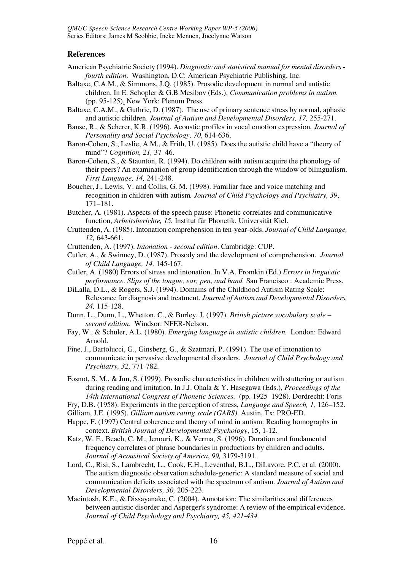#### **References**

- American Psychiatric Society (1994). *Diagnostic and statistical manual for mental disorders fourth edition*.Washington, D.C: American Psychiatric Publishing, Inc.
- Baltaxe, C.A.M., & Simmons, J.Q. (1985). Prosodic development in normal and autistic children. In E. Schopler & G.B Mesibov (Eds.), *Communication problems in autism.*  (pp. 95-125). New York: Plenum Press.
- Baltaxe, C.A.M., & Guthrie, D. (1987). The use of primary sentence stress by normal, aphasic and autistic children. *Journal of Autism and Developmental Disorders, 17,* 255-271.

Banse, R., & Scherer, K.R. (1996). Acoustic profiles in vocal emotion expression*. Journal of Personality and Social Psychology, 70*, 614-636.

- Baron-Cohen, S., Leslie, A.M., & Frith, U. (1985). Does the autistic child have a "theory of mind"? *Cognition, 21,* 37–46.
- Baron-Cohen, S., & Staunton, R. (1994). Do children with autism acquire the phonology of their peers? An examination of group identification through the window of bilingualism. *First Language, 14,* 241-248.
- Boucher, J., Lewis, V. and Collis, G. M. (1998). Familiar face and voice matching and recognition in children with autism*. Journal of Child Psychology and Psychiatry, 39*, 171–181.
- Butcher, A. (1981). Aspects of the speech pause: Phonetic correlates and communicative function, *Arbeitsberichte, 15.* Institut für Phonetik, Universität Kiel.
- Cruttenden, A. (1985). Intonation comprehension in ten-year-olds. *Journal of Child Language, 12,* 643-661.
- Cruttenden, A. (1997). *Intonation second edition*. Cambridge: CUP.
- Cutler, A., & Swinney, D. (1987). Prosody and the development of comprehension. *Journal of Child Language, 14,* 145-167.
- Cutler, A. (1980) Errors of stress and intonation. In V.A. Fromkin (Ed.) *Errors in linguistic performance. Slips of the tongue, ear, pen, and hand.* San Francisco : Academic Press.
- DiLalla, D.L., & Rogers, S.J. (1994). Domains of the Childhood Autism Rating Scale: Relevance for diagnosis and treatment. *Journal of Autism and Developmental Disorders, 24,* 115-128.
- Dunn, L., Dunn, L., Whetton, C., & Burley, J. (1997). *British picture vocabulary scale second edition*. Windsor: NFER-Nelson.
- Fay, W., & Schuler, A.L. (1980). *Emerging language in autistic children.* London: Edward Arnold.
- Fine, J., Bartolucci, G., Ginsberg, G., & Szatmari, P. (1991). The use of intonation to communicate in pervasive developmental disorders. *Journal of Child Psychology and Psychiatry, 32,* 771-782.
- Fosnot, S. M., & Jun, S. (1999). Prosodic characteristics in children with stuttering or autism during reading and imitation. In J.J. Ohala & Y. Hasegawa (Eds.), *Proceedings of the 14th International Congress of Phonetic Sciences.* (pp. 1925–1928). Dordrecht: Foris
- Fry, D.B. (1958). Experiments in the perception of stress, *Language and Speech, 1,* 126–152.
- Gilliam, J.E. (1995). *Gilliam autism rating scale (GARS)*. Austin, Tx: PRO-ED.
- Happe, F. (1997) Central coherence and theory of mind in autism: Reading homographs in context. *British Journal of Developmental Psychology*, 15, 1-12.
- Katz, W. F., Beach, C. M., Jenouri, K., & Verma, S. (1996). Duration and fundamental frequency correlates of phrase boundaries in productions by children and adults. *Journal of Acoustical Society of America*, *99,* 3179-3191.
- Lord, C., Risi, S., Lambrecht, L., Cook, E.H., Leventhal, B.L., DiLavore, P.C. et al. (2000). The autism diagnostic observation schedule-generic: A standard measure of social and communication deficits associated with the spectrum of autism. *Journal of Autism and Developmental Disorders, 30,* 205-223.
- Macintosh, K.E., & Dissayanake, C. (2004). Annotation: The similarities and differences between autistic disorder and Asperger's syndrome: A review of the empirical evidence. *Journal of Child Psychology and Psychiatry, 45, 421-434.*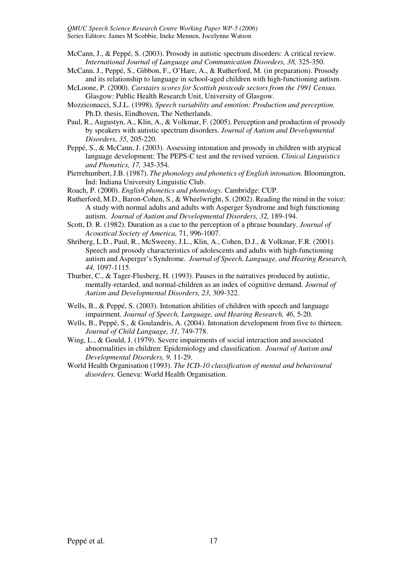- McCann, J., & Peppé, S. (2003). Prosody in autistic spectrum disorders: A critical review. *International Journal of Language and Communication Disorders, 38,* 325-350.
- McCann, J., Peppé, S., Gibbon, F., O'Hare, A., & Rutherford, M. (in preparation). Prosody and its relationship to language in school-aged children with high-functioning autism.
- McLoone, P. (2000). *Carstairs scores for Scottish postcode sectors from the 1991 Census*. Glasgow: Public Health Research Unit, University of Glasgow.
- Mozziconacci, S.J.L. (1998). *Speech variability and emotion: Production and perception*. Ph.D. thesis, Eindhoven, The Netherlands.
- Paul, R., Augustyn, A., Klin, A., & Volkmar, F. (2005). Perception and production of prosody by speakers with autistic spectrum disorders. *Journal of Autism and Developmental Disorders, 35,* 205-220.
- Peppé, S., & McCann, J. (2003). Assessing intonation and prosody in children with atypical language development: The PEPS-C test and the revised version. *Clinical Linguistics and Phonetics, 17,* 345-354.
- Pierrehumbert, J.B. (1987). *The phonology and phonetics of English intonation.* Bloomington, Ind: Indiana University Linguistic Club.
- Roach, P. (2000). *English phonetics and phonology.* Cambridge: CUP.
- Rutherford, M.D., Baron-Cohen, S., & Wheelwright, S. (2002). Reading the mind in the voice: A study with normal adults and adults with Asperger Syndrome and high functioning autism. *Journal of Autism and Developmental Disorders, 32,* 189-194.
- Scott, D. R. (1982). Duration as a cue to the perception of a phrase boundary. *Journal of Acoustical Society of America,* 71, 996-1007.
- Shriberg, L.D., Paul, R., McSweeny, J.L., Klin, A., Cohen, D.J., & Volkmar, F.R. (2001). Speech and prosody characteristics of adolescents and adults with high-functioning autism and Asperger's Syndrome. *Journal of Speech, Language, and Hearing Research, 44,* 1097-1115.
- Thurber, C., & Tager-Flusberg, H. (1993). Pauses in the narratives produced by autistic, mentally-retarded, and normal-children as an index of cognitive demand. *Journal of Autism and Developmental Disorders, 23,* 309-322.
- Wells, B., & Peppé, S. (2003). Intonation abilities of children with speech and language impairment. *Journal of Speech, Language, and Hearing Research, 46, 5-20.*
- Wells, B., Peppé, S., & Goulandris, A. (2004). Intonation development from five to thirteen. *Journal of Child Language, 31,* 749-778.
- Wing, L., & Gould, J. (1979). Severe impairments of social interaction and associated abnormalities in children: Epidemiology and classification. *Journal of Autism and Developmental Disorders, 9,* 11-29.
- World Health Organisation (1993). *The ICD-10 classification of mental and behavioural disorders.* Geneva: World Health Organisation.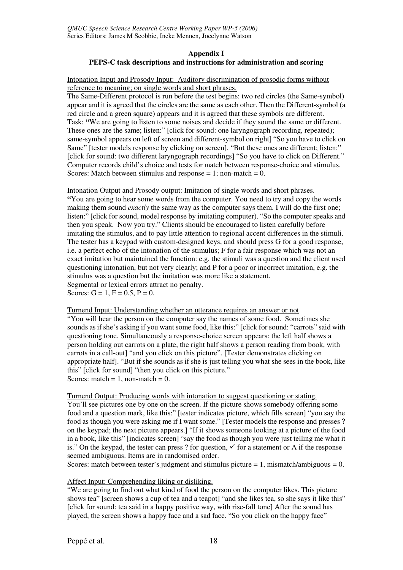#### **Appendix I PEPS-C task descriptions and instructions for administration and scoring**

Intonation Input and Prosody Input: Auditory discrimination of prosodic forms without reference to meaning; on single words and short phrases.

The Same-Different protocol is run before the test begins: two red circles (the Same-symbol) appear and it is agreed that the circles are the same as each other. Then the Different-symbol (a red circle and a green square) appears and it is agreed that these symbols are different. Task: **"**We are going to listen to some noises and decide if they sound the same or different. These ones are the same; listen:" [click for sound: one laryngograph recording, repeated); same-symbol appears on left of screen and different-symbol on right] "So you have to click on Same" [tester models response by clicking on screen]. "But these ones are different; listen:" [click for sound: two different laryngograph recordings] "So you have to click on Different." Computer records child's choice and tests for match between response-choice and stimulus. Scores: Match between stimulus and response  $= 1$ ; non-match  $= 0$ .

Intonation Output and Prosody output: Imitation of single words and short phrases.

**"**You are going to hear some words from the computer. You need to try and copy the words making them sound *exactly* the same way as the computer says them. I will do the first one; listen:" [click for sound, model response by imitating computer). "So the computer speaks and then you speak. Now you try." Clients should be encouraged to listen carefully before imitating the stimulus, and to pay little attention to regional accent differences in the stimuli. The tester has a keypad with custom-designed keys, and should press G for a good response, i.e. a perfect echo of the intonation of the stimulus; F for a fair response which was not an exact imitation but maintained the function: e.g. the stimuli was a question and the client used questioning intonation, but not very clearly; and P for a poor or incorrect imitation, e.g. the stimulus was a question but the imitation was more like a statement. Segmental or lexical errors attract no penalty. Scores:  $G = 1$ ,  $F = 0.5$ ,  $P = 0$ .

Turnend Input: Understanding whether an utterance requires an answer or not

"You will hear the person on the computer say the names of some food. Sometimes she sounds as if she's asking if you want some food, like this:" [click for sound: "carrots" said with questioning tone. Simultaneously a response-choice screen appears: the left half shows a person holding out carrots on a plate, the right half shows a person reading from book, with carrots in a call-out] "and you click on this picture". [Tester demonstrates clicking on appropriate half]. "But if she sounds as if she is just telling you what she sees in the book, like this" [click for sound] "then you click on this picture." Scores: match = 1, non-match =  $0$ .

Turnend Output: Producing words with intonation to suggest questioning or stating. You'll see pictures one by one on the screen. If the picture shows somebody offering some food and a question mark, like this:" [tester indicates picture, which fills screen] "you say the food as though you were asking me if I want some." [Tester models the response and presses **?**  on the keypad; the next picture appears.] "If it shows someone looking at a picture of the food in a book, like this" [indicates screen] "say the food as though you were just telling me what it is." On the keypad, the tester can press ? for question,  $\checkmark$  for a statement or A if the response seemed ambiguous. Items are in randomised order.

Scores: match between tester's judgment and stimulus picture  $= 1$ , mismatch/ambiguous  $= 0$ .

#### Affect Input: Comprehending liking or disliking.

"We are going to find out what kind of food the person on the computer likes. This picture shows tea" [screen shows a cup of tea and a teapot] "and she likes tea, so she says it like this" [click for sound: tea said in a happy positive way, with rise-fall tone] After the sound has played, the screen shows a happy face and a sad face. "So you click on the happy face"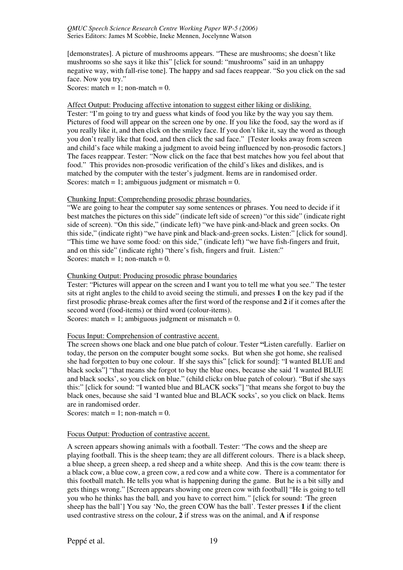[demonstrates]. A picture of mushrooms appears. "These are mushrooms; she doesn't like mushrooms so she says it like this" [click for sound: "mushrooms" said in an unhappy negative way, with fall-rise tone]. The happy and sad faces reappear. "So you click on the sad face. Now you try."

Scores: match = 1; non-match =  $0$ .

Affect Output: Producing affective intonation to suggest either liking or disliking.

Tester: "I'm going to try and guess what kinds of food you like by the way you say them. Pictures of food will appear on the screen one by one. If you like the food, say the word as if you really like it, and then click on the smiley face. If you don't like it, say the word as though you don't really like that food, and then click the sad face." [Tester looks away from screen and child's face while making a judgment to avoid being influenced by non-prosodic factors.] The faces reappear. Tester: "Now click on the face that best matches how you feel about that food." This provides non-prosodic verification of the child's likes and dislikes, and is matched by the computer with the tester's judgment. Items are in randomised order. Scores: match = 1; ambiguous judgment or mismatch =  $0$ .

Chunking Input: Comprehending prosodic phrase boundaries.

"We are going to hear the computer say some sentences or phrases. You need to decide if it best matches the pictures on this side" (indicate left side of screen) "or this side" (indicate right side of screen). "On this side," (indicate left) "we have pink-and-black and green socks. On this side," (indicate right) "we have pink and black-and-green socks. Listen:" [click for sound]. "This time we have some food*:* on this side," (indicate left) "we have fish-fingers and fruit, and on this side" (indicate right) "there's fish, fingers and fruit. Listen:" Scores: match = 1; non-match =  $0$ .

#### Chunking Output: Producing prosodic phrase boundaries

Tester: "Pictures will appear on the screen and I want you to tell me what you see." The tester sits at right angles to the child to avoid seeing the stimuli, and presses **1** on the key pad if the first prosodic phrase-break comes after the first word of the response and **2** if it comes after the second word (food-items) or third word (colour-items). Scores: match = 1; ambiguous judgment or mismatch = 0.

Focus Input: Comprehension of contrastive accent.

The screen shows one black and one blue patch of colour. Tester **"**Listen carefully. Earlier on today, the person on the computer bought some socks. But when she got home, she realised she had forgotten to buy one colour. If she says this" [click for sound]: "I wanted BLUE and black socks"] "that means she forgot to buy the blue ones, because she said 'I wanted BLUE and black socks', so you click on blue." (child click*s* on blue patch of colour)*.* "But if she says this:" [click for sound: "I wanted blue and BLACK socks"] "that means she forgot to buy the black ones, because she said 'I wanted blue and BLACK socks', so you click on black. Items are in randomised order.

Scores: match = 1; non-match =  $0$ .

#### Focus Output: Production of contrastive accent.

A screen appears showing animals with a football. Tester: "The cows and the sheep are playing football. This is the sheep team; they are all different colours. There is a black sheep, a blue sheep, a green sheep, a red sheep and a white sheep. And this is the cow team: there is a black cow, a blue cow, a green cow, a red cow and a white cow. There is a commentator for this football match. He tells you what is happening during the game. But he is a bit silly and gets things wrong." [Screen appears showing one green cow with football] "He is going to tell you who he thinks has the ball*,* and you have to correct him.*"* [click for sound: 'The green sheep has the ball'] You say 'No, the green COW has the ball'. Tester presses **1** if the client used contrastive stress on the colour, **2** if stress was on the animal, and **A** if response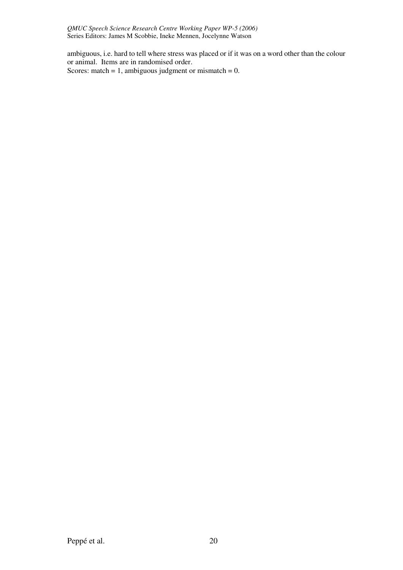ambiguous, i.e. hard to tell where stress was placed or if it was on a word other than the colour or animal. Items are in randomised order. Scores: match = 1, ambiguous judgment or mismatch =  $0$ .